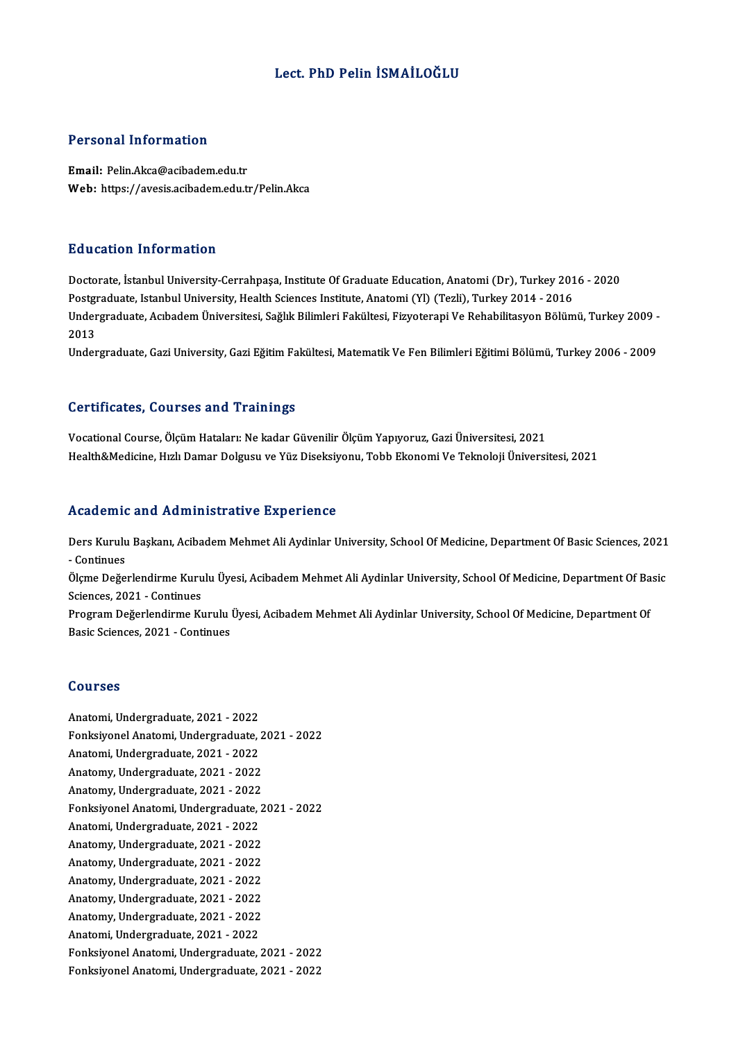## Lect. PhD Pelin İSMAİLOĞLU

## Personal Information

Email: Pelin.Akca@acibadem.edu.tr Web: https://avesis.acibadem.edu.tr/Pelin.Akca

## Education Information

Education Information<br>Doctorate, İstanbul University-Cerrahpaşa, Institute Of Graduate Education, Anatomi (Dr), Turkey 2016 - 2020<br>Postanaduata Istanbul University Health Sciences Institute Anatomi (VI) (Tegli), Turkey 201 Puusuteen Timor intution<br>Doctorate, İstanbul University-Cerrahpaşa, Institute Of Graduate Education, Anatomi (Dr), Turkey 201<br>Postgraduate, Istanbul University, Health Sciences Institute, Anatomi (Yl) (Tezli), Turkey 2014 Doctorate, İstanbul University-Cerrahpaşa, Institute Of Graduate Education, Anatomi (Dr), Turkey 2016 - 2020<br>Postgraduate, Istanbul University, Health Sciences Institute, Anatomi (Yl) (Tezli), Turkey 2014 - 2016<br>Undergradu Postgi<br>Under<br>2013<br>Under Undergraduate, Acıbadem Üniversitesi, Sağlık Bilimleri Fakültesi, Fizyoterapi Ve Rehabilitasyon Bölümü, Turkey 2009 -<br>2013<br>Undergraduate, Gazi University, Gazi Eğitim Fakültesi, Matematik Ve Fen Bilimleri Eğitimi Bölümü, T

Undergraduate, Gazi University, Gazi Eğitim Fakültesi, Matematik Ve Fen Bilimleri Eğitimi Bölümü, Turkey 2006 - 2009<br>Certificates, Courses and Trainings

VocationalCourse,ÖlçümHataları:Ne kadarGüvenilirÖlçümYapıyoruz,GaziÜniversitesi,2021 Health&Medicine, Hızlı Damar Dolgusu ve Yüz Diseksiyonu, Tobb Ekonomi Ve Teknoloji Üniversitesi, 2021

### Academic and Administrative Experience

Academic and Administrative Experience<br>Ders Kurulu Başkanı, Acibadem Mehmet Ali Aydinlar University, School Of Medicine, Department Of Basic Sciences, 2021<br>Continues -Continues Ders Kurulu Başkanı, Acibadem Mehmet Ali Aydinlar University, School Of Medicine, Department Of Basic Sciences, 2021<br>- Continues<br>Ölçme Değerlendirme Kurulu Üyesi, Acibadem Mehmet Ali Aydinlar University, School Of Medicine

- Continues<br>Ölçme Değerlendirme Kurulu Üyesi, Acibadem Mehmet Ali Aydinlar University, School Of Medicine, Department Of Basic<br>Sciences, 2021 - Continues Ölçme Değerlendirme Kurulu Üyesi, Acibadem Mehmet Ali Aydinlar University, School Of Medicine, Department Of Ba<br>Sciences, 2021 - Continues<br>Program Değerlendirme Kurulu Üyesi, Acibadem Mehmet Ali Aydinlar University, School

Sciences, 2021 - Continues<br>Program Değerlendirme Kurulu |<br>Basic Sciences, 2021 - Continues Basic Sciences, 2021 - Continues<br>Courses

Anatomi,Undergraduate,2021 -2022 Sourbes<br>Anatomi, Undergraduate, 2021 - 2022<br>Fonksiyonel Anatomi, Undergraduate, 2021 - 2022 Anatomi, Undergraduate, 2021 - 2022<br>Fonksiyonel Anatomi, Undergraduate, .<br>Anatomi, Undergraduate, 2021 - 2022<br>Anatomy, Undergraduate, 2021 - 2022 Fonksiyonel Anatomi, Undergraduate, 2<br>Anatomi, Undergraduate, 2021 - 2022<br>Anatomy, Undergraduate, 2021 - 2022<br>Anatomy, Undergraduate, 2021 - 2022 Anatomi, Undergraduate, 2021 - 2022<br>Anatomy, Undergraduate, 2021 - 2022<br>Anatomy, Undergraduate, 2021 - 2022<br>Fonksivonal Anatomi, Undergraduate, 2 Anatomy, Undergraduate, 2021 - 2022<br>Anatomy, Undergraduate, 2021 - 2022<br>Fonksiyonel Anatomi, Undergraduate, 2021 - 2022<br>Anatomi, Undergraduate, 2021 - 2022 Anatomy, Undergraduate, 2021 - 2022<br>Fonksiyonel Anatomi, Undergraduate, .<br>Anatomi, Undergraduate, 2021 - 2022<br>Anatomy, Undergraduate, 2021 - 2022 Fonksiyonel Anatomi, Undergraduate, 2<br>Anatomi, Undergraduate, 2021 - 2022<br>Anatomy, Undergraduate, 2021 - 2022<br>Anatomy, Undergraduate, 2021 - 2022 Anatomi, Undergraduate, 2021 - 2022<br>Anatomy, Undergraduate, 2021 - 2022<br>Anatomy, Undergraduate, 2021 - 2022<br>Anatomy, Undergraduate, 2021 - 2022 Anatomy, Undergraduate, 2021 - 2022<br>Anatomy, Undergraduate, 2021 - 2022<br>Anatomy, Undergraduate, 2021 - 2022<br>Anatomy, Undergraduate, 2021 - 2022 Anatomy, Undergraduate, 2021 - 2022<br>Anatomy, Undergraduate, 2021 - 2022<br>Anatomy, Undergraduate, 2021 - 2022<br>Anatomy, Undergraduate, 2021 - 2022 Anatomy, Undergraduate, 2021 - 2022<br>Anatomy, Undergraduate, 2021 - 2022<br>Anatomy, Undergraduate, 2021 - 2022<br>Anatomi, Undergraduate, 2021 - 2022 Anatomy, Undergraduate, 2021 - 2022<br>Anatomy, Undergraduate, 2021 - 2022<br>Anatomi, Undergraduate, 2021 - 2022<br>Eonksivenel Anatomi Undergraduate Anatomy, Undergraduate, 2021 - 2022<br>Anatomi, Undergraduate, 2021 - 2022<br>Fonksiyonel Anatomi, Undergraduate, 2021 - 2022<br>Fonksiyonel Anatomi, Undergraduate, 2021 - 2022 Anatomi, Undergraduate, 2021 - 2022<br>Fonksiyonel Anatomi, Undergraduate, 2021 - 2022<br>Fonksiyonel Anatomi, Undergraduate, 2021 - 2022